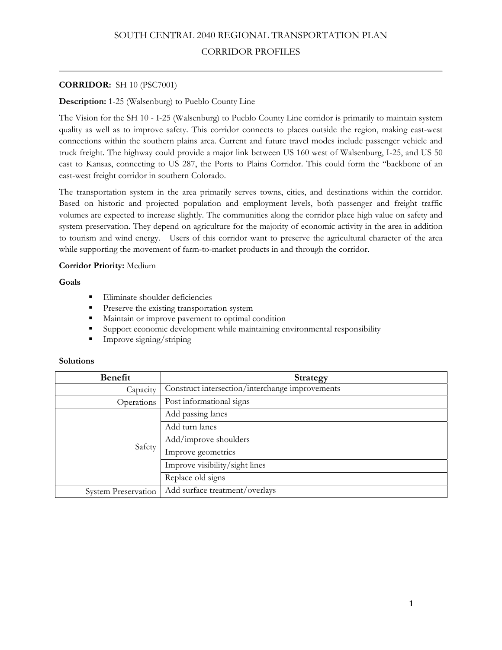# **CORRIDOR:** SH 10 (PSC7001)

# **Description:** 1-25 (Walsenburg) to Pueblo County Line

The Vision for the SH 10 - I-25 (Walsenburg) to Pueblo County Line corridor is primarily to maintain system quality as well as to improve safety. This corridor connects to places outside the region, making east-west connections within the southern plains area. Current and future travel modes include passenger vehicle and truck freight. The highway could provide a major link between US 160 west of Walsenburg, I-25, and US 50 east to Kansas, connecting to US 287, the Ports to Plains Corridor. This could form the "backbone of an east-west freight corridor in southern Colorado.

The transportation system in the area primarily serves towns, cities, and destinations within the corridor. Based on historic and projected population and employment levels, both passenger and freight traffic volumes are expected to increase slightly. The communities along the corridor place high value on safety and system preservation. They depend on agriculture for the majority of economic activity in the area in addition to tourism and wind energy. Users of this corridor want to preserve the agricultural character of the area while supporting the movement of farm-to-market products in and through the corridor.

# **Corridor Priority:** Medium

**Goals** 

- Eliminate shoulder deficiencies
- Preserve the existing transportation system
- Maintain or improve pavement to optimal condition
- Support economic development while maintaining environmental responsibility
- **Improve signing/striping**

| <b>Benefit</b>             | <b>Strategy</b>                                 |
|----------------------------|-------------------------------------------------|
| Capacity                   | Construct intersection/interchange improvements |
| Operations                 | Post informational signs                        |
| Safety                     | Add passing lanes                               |
|                            | Add turn lanes                                  |
|                            | Add/improve shoulders                           |
|                            | Improve geometrics                              |
|                            | Improve visibility/sight lines                  |
|                            | Replace old signs                               |
| <b>System Preservation</b> | Add surface treatment/overlays                  |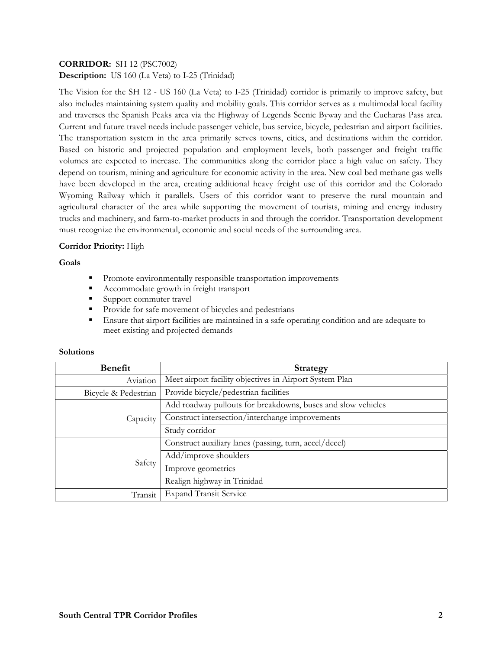# **CORRIDOR:** SH 12 (PSC7002) **Description:** US 160 (La Veta) to I-25 (Trinidad)

The Vision for the SH 12 - US 160 (La Veta) to I-25 (Trinidad) corridor is primarily to improve safety, but also includes maintaining system quality and mobility goals. This corridor serves as a multimodal local facility and traverses the Spanish Peaks area via the Highway of Legends Scenic Byway and the Cucharas Pass area. Current and future travel needs include passenger vehicle, bus service, bicycle, pedestrian and airport facilities. The transportation system in the area primarily serves towns, cities, and destinations within the corridor. Based on historic and projected population and employment levels, both passenger and freight traffic volumes are expected to increase. The communities along the corridor place a high value on safety. They depend on tourism, mining and agriculture for economic activity in the area. New coal bed methane gas wells have been developed in the area, creating additional heavy freight use of this corridor and the Colorado Wyoming Railway which it parallels. Users of this corridor want to preserve the rural mountain and agricultural character of the area while supporting the movement of tourists, mining and energy industry trucks and machinery, and farm-to-market products in and through the corridor. Transportation development must recognize the environmental, economic and social needs of the surrounding area.

# **Corridor Priority:** High

# **Goals**

- **Promote environmentally responsible transportation improvements**
- Accommodate growth in freight transport
- Support commuter travel
- **Provide for safe movement of bicycles and pedestrians**
- Ensure that airport facilities are maintained in a safe operating condition and are adequate to meet existing and projected demands

| Benefit              | Strategy                                                     |
|----------------------|--------------------------------------------------------------|
| Aviation             | Meet airport facility objectives in Airport System Plan      |
| Bicycle & Pedestrian | Provide bicycle/pedestrian facilities                        |
| Capacity             | Add roadway pullouts for breakdowns, buses and slow vehicles |
|                      | Construct intersection/interchange improvements              |
|                      | Study corridor                                               |
| Safety               | Construct auxiliary lanes (passing, turn, accel/decel)       |
|                      | Add/improve shoulders                                        |
|                      | Improve geometrics                                           |
|                      | Realign highway in Trinidad                                  |
| Transit              | <b>Expand Transit Service</b>                                |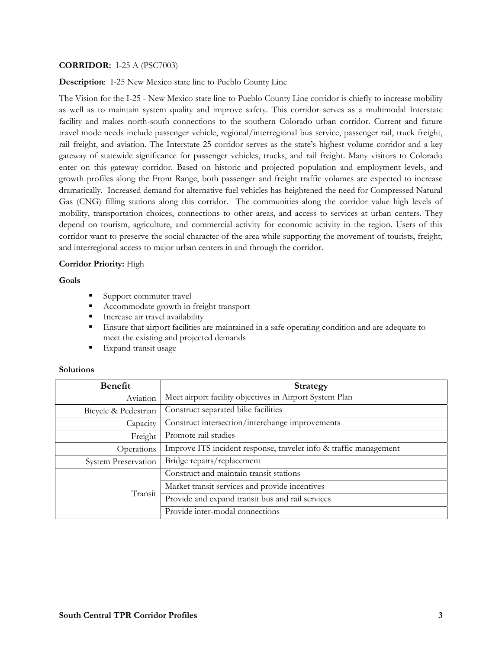## **CORRIDOR:** I-25 A (PSC7003)

**Description**: I-25 New Mexico state line to Pueblo County Line

The Vision for the I-25 - New Mexico state line to Pueblo County Line corridor is chiefly to increase mobility as well as to maintain system quality and improve safety. This corridor serves as a multimodal Interstate facility and makes north-south connections to the southern Colorado urban corridor. Current and future travel mode needs include passenger vehicle, regional/interregional bus service, passenger rail, truck freight, rail freight, and aviation. The Interstate 25 corridor serves as the state's highest volume corridor and a key gateway of statewide significance for passenger vehicles, trucks, and rail freight. Many visitors to Colorado enter on this gateway corridor. Based on historic and projected population and employment levels, and growth profiles along the Front Range, both passenger and freight traffic volumes are expected to increase dramatically. Increased demand for alternative fuel vehicles has heightened the need for Compressed Natural Gas (CNG) filling stations along this corridor. The communities along the corridor value high levels of mobility, transportation choices, connections to other areas, and access to services at urban centers. They depend on tourism, agriculture, and commercial activity for economic activity in the region. Users of this corridor want to preserve the social character of the area while supporting the movement of tourists, freight, and interregional access to major urban centers in and through the corridor.

## **Corridor Priority:** High

**Goals** 

- Support commuter travel
- Accommodate growth in freight transport
- **Increase air travel availability**
- Ensure that airport facilities are maintained in a safe operating condition and are adequate to meet the existing and projected demands
- **Expand transit usage**

| <b>Benefit</b>             | Strategy                                                          |
|----------------------------|-------------------------------------------------------------------|
| Aviation                   | Meet airport facility objectives in Airport System Plan           |
| Bicycle & Pedestrian       | Construct separated bike facilities                               |
| Capacity                   | Construct intersection/interchange improvements                   |
| Freight                    | Promote rail studies                                              |
| Operations                 | Improve ITS incident response, traveler info & traffic management |
| <b>System Preservation</b> | Bridge repairs/replacement                                        |
| Transit                    | Construct and maintain transit stations                           |
|                            | Market transit services and provide incentives                    |
|                            | Provide and expand transit bus and rail services                  |
|                            | Provide inter-modal connections                                   |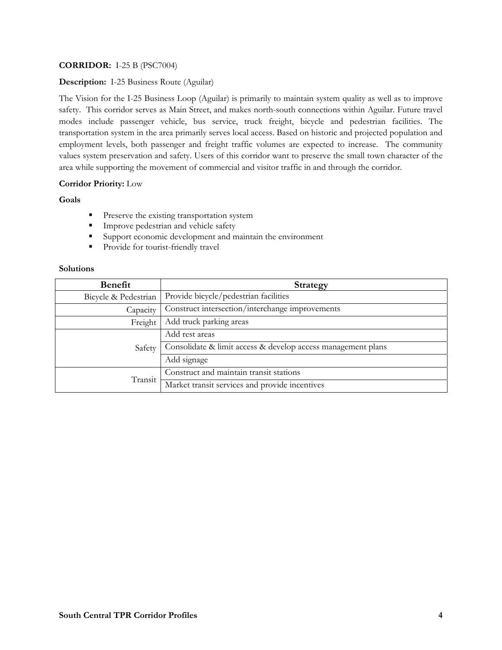# **CORRIDOR:** I-25 B (PSC7004)

# **Description:** I-25 Business Route (Aguilar)

The Vision for the I-25 Business Loop (Aguilar) is primarily to maintain system quality as well as to improve safety. This corridor serves as Main Street, and makes north-south connections within Aguilar. Future travel modes include passenger vehicle, bus service, truck freight, bicycle and pedestrian facilities. The transportation system in the area primarily serves local access. Based on historic and projected population and employment levels, both passenger and freight traffic volumes are expected to increase. The community values system preservation and safety. Users of this corridor want to preserve the small town character of the area while supporting the movement of commercial and visitor traffic in and through the corridor.

# **Corridor Priority:** Low

## **Goals**

- **Preserve the existing transportation system**
- **Improve pedestrian and vehicle safety**
- Support economic development and maintain the environment
- **Provide for tourist-friendly travel**

| Benefit              | Strategy                                                     |
|----------------------|--------------------------------------------------------------|
| Bicycle & Pedestrian | Provide bicycle/pedestrian facilities                        |
| Capacity             | Construct intersection/interchange improvements              |
| Freight              | Add truck parking areas                                      |
| Safety               | Add rest areas                                               |
|                      | Consolidate & limit access & develop access management plans |
|                      | Add signage                                                  |
| Transit              | Construct and maintain transit stations                      |
|                      | Market transit services and provide incentives               |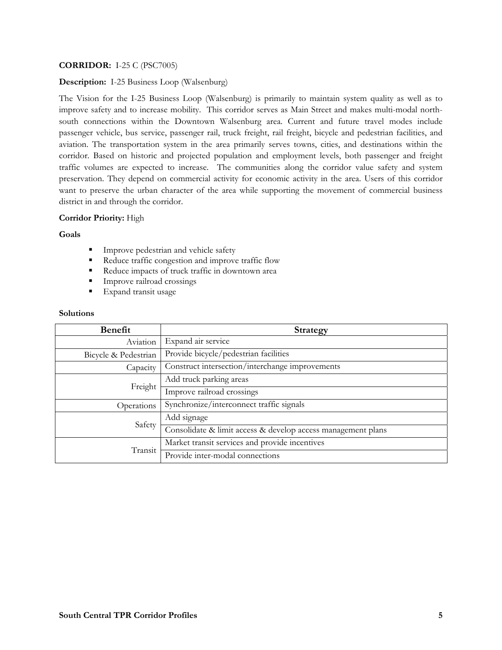# **CORRIDOR:** I-25 C (PSC7005)

### **Description:** I-25 Business Loop (Walsenburg)

The Vision for the I-25 Business Loop (Walsenburg) is primarily to maintain system quality as well as to improve safety and to increase mobility. This corridor serves as Main Street and makes multi-modal northsouth connections within the Downtown Walsenburg area. Current and future travel modes include passenger vehicle, bus service, passenger rail, truck freight, rail freight, bicycle and pedestrian facilities, and aviation. The transportation system in the area primarily serves towns, cities, and destinations within the corridor. Based on historic and projected population and employment levels, both passenger and freight traffic volumes are expected to increase. The communities along the corridor value safety and system preservation. They depend on commercial activity for economic activity in the area. Users of this corridor want to preserve the urban character of the area while supporting the movement of commercial business district in and through the corridor.

### **Corridor Priority:** High

#### **Goals**

- **Improve pedestrian and vehicle safety**
- Reduce traffic congestion and improve traffic flow
- Reduce impacts of truck traffic in downtown area
- **Improve railroad crossings**
- **Expand transit usage**

| <b>Benefit</b>       | <b>Strategy</b>                                              |
|----------------------|--------------------------------------------------------------|
| Aviation             | Expand air service                                           |
| Bicycle & Pedestrian | Provide bicycle/pedestrian facilities                        |
| Capacity             | Construct intersection/interchange improvements              |
| Freight              | Add truck parking areas                                      |
|                      | Improve railroad crossings                                   |
| Operations           | Synchronize/interconnect traffic signals                     |
| Safety               | Add signage                                                  |
|                      | Consolidate & limit access & develop access management plans |
| Transit              | Market transit services and provide incentives               |
|                      | Provide inter-modal connections                              |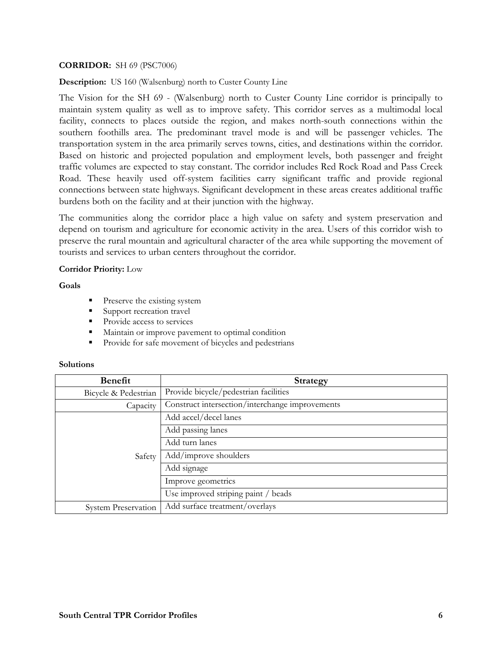## **CORRIDOR:** SH 69 (PSC7006)

**Description:** US 160 (Walsenburg) north to Custer County Line

The Vision for the SH 69 - (Walsenburg) north to Custer County Line corridor is principally to maintain system quality as well as to improve safety. This corridor serves as a multimodal local facility, connects to places outside the region, and makes north-south connections within the southern foothills area. The predominant travel mode is and will be passenger vehicles. The transportation system in the area primarily serves towns, cities, and destinations within the corridor. Based on historic and projected population and employment levels, both passenger and freight traffic volumes are expected to stay constant. The corridor includes Red Rock Road and Pass Creek Road. These heavily used off-system facilities carry significant traffic and provide regional connections between state highways. Significant development in these areas creates additional traffic burdens both on the facility and at their junction with the highway.

The communities along the corridor place a high value on safety and system preservation and depend on tourism and agriculture for economic activity in the area. Users of this corridor wish to preserve the rural mountain and agricultural character of the area while supporting the movement of tourists and services to urban centers throughout the corridor.

# **Corridor Priority:** Low

**Goals** 

- **Preserve the existing system**
- Support recreation travel
- **Provide access to services**
- Maintain or improve pavement to optimal condition
- **Provide for safe movement of bicycles and pedestrians**

| Benefit                    | Strategy                                        |
|----------------------------|-------------------------------------------------|
| Bicycle & Pedestrian       | Provide bicycle/pedestrian facilities           |
| Capacity                   | Construct intersection/interchange improvements |
| Safety                     | Add accel/decel lanes                           |
|                            | Add passing lanes                               |
|                            | Add turn lanes                                  |
|                            | Add/improve shoulders                           |
|                            | Add signage                                     |
|                            | Improve geometrics                              |
|                            | Use improved striping paint / beads             |
| <b>System Preservation</b> | Add surface treatment/overlays                  |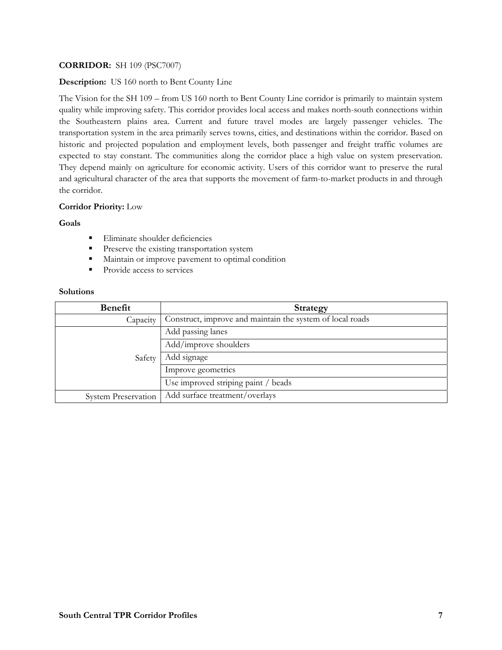# **CORRIDOR:** SH 109 (PSC7007)

## **Description:** US 160 north to Bent County Line

The Vision for the SH 109 – from US 160 north to Bent County Line corridor is primarily to maintain system quality while improving safety. This corridor provides local access and makes north-south connections within the Southeastern plains area. Current and future travel modes are largely passenger vehicles. The transportation system in the area primarily serves towns, cities, and destinations within the corridor. Based on historic and projected population and employment levels, both passenger and freight traffic volumes are expected to stay constant. The communities along the corridor place a high value on system preservation. They depend mainly on agriculture for economic activity. Users of this corridor want to preserve the rural and agricultural character of the area that supports the movement of farm-to-market products in and through the corridor.

## **Corridor Priority:** Low

## **Goals**

- Eliminate shoulder deficiencies
- **Preserve the existing transportation system**
- **Maintain or improve pavement to optimal condition**
- Provide access to services

| <b>Benefit</b>             | <b>Strategy</b>                                           |
|----------------------------|-----------------------------------------------------------|
| Capacity                   | Construct, improve and maintain the system of local roads |
| Safety                     | Add passing lanes                                         |
|                            | Add/improve shoulders                                     |
|                            | Add signage                                               |
|                            | Improve geometrics                                        |
|                            | Use improved striping paint / beads                       |
| <b>System Preservation</b> | Add surface treatment/overlays                            |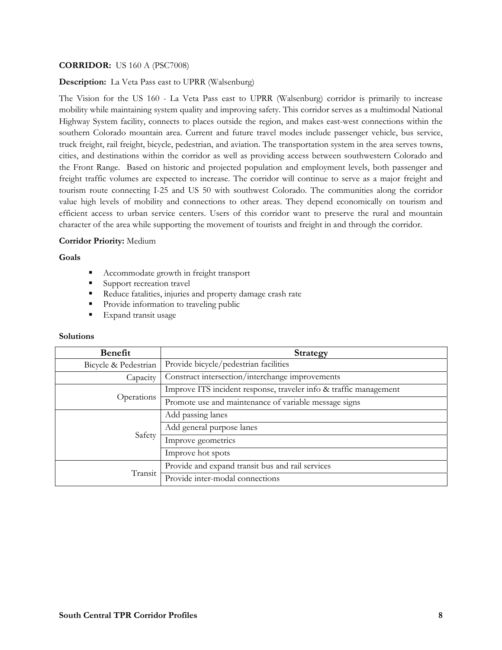## **CORRIDOR:** US 160 A (PSC7008)

### **Description:** La Veta Pass east to UPRR (Walsenburg)

The Vision for the US 160 - La Veta Pass east to UPRR (Walsenburg) corridor is primarily to increase mobility while maintaining system quality and improving safety. This corridor serves as a multimodal National Highway System facility, connects to places outside the region, and makes east-west connections within the southern Colorado mountain area. Current and future travel modes include passenger vehicle, bus service, truck freight, rail freight, bicycle, pedestrian, and aviation. The transportation system in the area serves towns, cities, and destinations within the corridor as well as providing access between southwestern Colorado and the Front Range. Based on historic and projected population and employment levels, both passenger and freight traffic volumes are expected to increase. The corridor will continue to serve as a major freight and tourism route connecting I-25 and US 50 with southwest Colorado. The communities along the corridor value high levels of mobility and connections to other areas. They depend economically on tourism and efficient access to urban service centers. Users of this corridor want to preserve the rural and mountain character of the area while supporting the movement of tourists and freight in and through the corridor.

### **Corridor Priority:** Medium

### **Goals**

- Accommodate growth in freight transport
- Support recreation travel
- Reduce fatalities, injuries and property damage crash rate
- Provide information to traveling public
- **Expand transit usage**

| Benefit              | <b>Strategy</b>                                                   |
|----------------------|-------------------------------------------------------------------|
| Bicycle & Pedestrian | Provide bicycle/pedestrian facilities                             |
| Capacity             | Construct intersection/interchange improvements                   |
| Operations           | Improve ITS incident response, traveler info & traffic management |
|                      | Promote use and maintenance of variable message signs             |
| Safety               | Add passing lanes                                                 |
|                      | Add general purpose lanes                                         |
|                      | Improve geometrics                                                |
|                      | Improve hot spots                                                 |
| Transit              | Provide and expand transit bus and rail services                  |
|                      | Provide inter-modal connections                                   |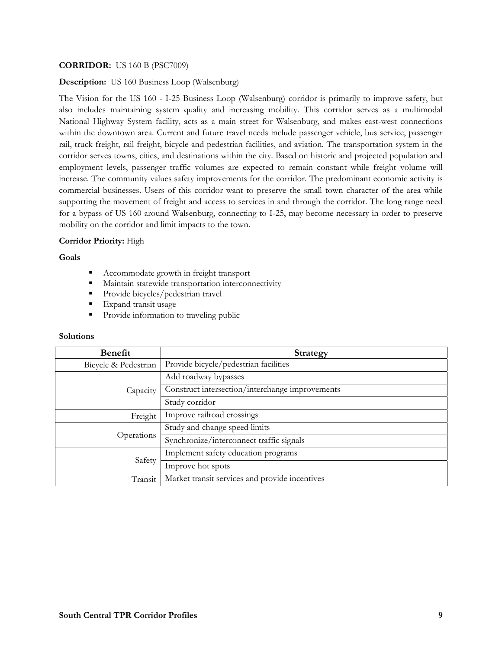# **CORRIDOR:** US 160 B (PSC7009)

## **Description:** US 160 Business Loop (Walsenburg)

The Vision for the US 160 - I-25 Business Loop (Walsenburg) corridor is primarily to improve safety, but also includes maintaining system quality and increasing mobility. This corridor serves as a multimodal National Highway System facility, acts as a main street for Walsenburg, and makes east-west connections within the downtown area. Current and future travel needs include passenger vehicle, bus service, passenger rail, truck freight, rail freight, bicycle and pedestrian facilities, and aviation. The transportation system in the corridor serves towns, cities, and destinations within the city. Based on historic and projected population and employment levels, passenger traffic volumes are expected to remain constant while freight volume will increase. The community values safety improvements for the corridor. The predominant economic activity is commercial businesses. Users of this corridor want to preserve the small town character of the area while supporting the movement of freight and access to services in and through the corridor. The long range need for a bypass of US 160 around Walsenburg, connecting to I-25, may become necessary in order to preserve mobility on the corridor and limit impacts to the town.

### **Corridor Priority:** High

### **Goals**

- Accommodate growth in freight transport
- Maintain statewide transportation interconnectivity
- Provide bicycles/pedestrian travel
- Expand transit usage
- **Provide information to traveling public**

| <b>Benefit</b>       | <b>Strategy</b>                                 |
|----------------------|-------------------------------------------------|
| Bicycle & Pedestrian | Provide bicycle/pedestrian facilities           |
| Capacity             | Add roadway bypasses                            |
|                      | Construct intersection/interchange improvements |
|                      | Study corridor                                  |
| Freight              | Improve railroad crossings                      |
| Operations           | Study and change speed limits                   |
|                      | Synchronize/interconnect traffic signals        |
| Safety               | Implement safety education programs             |
|                      | Improve hot spots                               |
| Transit              | Market transit services and provide incentives  |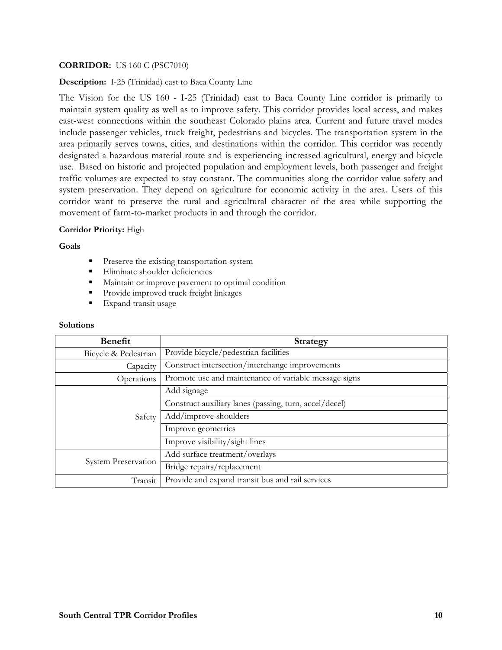# **CORRIDOR:** US 160 C (PSC7010)

**Description:** I-25 (Trinidad) east to Baca County Line

The Vision for the US 160 - I-25 (Trinidad) east to Baca County Line corridor is primarily to maintain system quality as well as to improve safety. This corridor provides local access, and makes east-west connections within the southeast Colorado plains area. Current and future travel modes include passenger vehicles, truck freight, pedestrians and bicycles. The transportation system in the area primarily serves towns, cities, and destinations within the corridor. This corridor was recently designated a hazardous material route and is experiencing increased agricultural, energy and bicycle use. Based on historic and projected population and employment levels, both passenger and freight traffic volumes are expected to stay constant. The communities along the corridor value safety and system preservation. They depend on agriculture for economic activity in the area. Users of this corridor want to preserve the rural and agricultural character of the area while supporting the movement of farm-to-market products in and through the corridor.

### **Corridor Priority:** High

**Goals** 

- **Preserve the existing transportation system**
- Eliminate shoulder deficiencies
- Maintain or improve pavement to optimal condition
- **Provide improved truck freight linkages**
- Expand transit usage

| <b>Benefit</b>             | <b>Strategy</b>                                        |
|----------------------------|--------------------------------------------------------|
| Bicycle & Pedestrian       | Provide bicycle/pedestrian facilities                  |
| Capacity                   | Construct intersection/interchange improvements        |
| Operations                 | Promote use and maintenance of variable message signs  |
| Safety                     | Add signage                                            |
|                            | Construct auxiliary lanes (passing, turn, accel/decel) |
|                            | Add/improve shoulders                                  |
|                            | Improve geometrics                                     |
|                            | Improve visibility/sight lines                         |
| <b>System Preservation</b> | Add surface treatment/overlays                         |
|                            | Bridge repairs/replacement                             |
| Transit                    | Provide and expand transit bus and rail services       |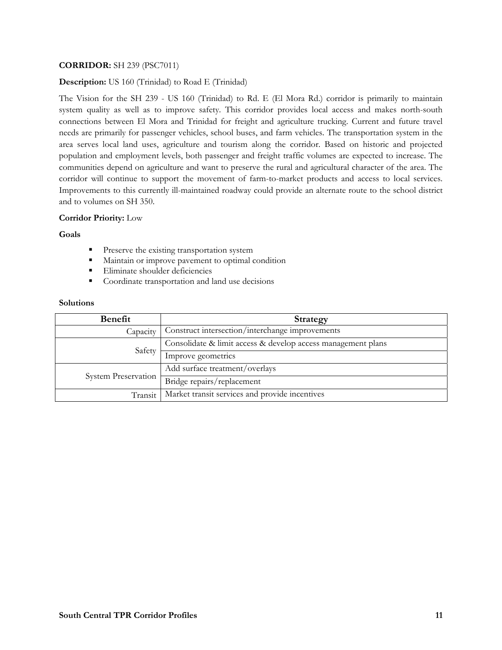# **CORRIDOR:** SH 239 (PSC7011)

**Description:** US 160 (Trinidad) to Road E (Trinidad)

The Vision for the SH 239 - US 160 (Trinidad) to Rd. E (El Mora Rd.) corridor is primarily to maintain system quality as well as to improve safety. This corridor provides local access and makes north-south connections between El Mora and Trinidad for freight and agriculture trucking. Current and future travel needs are primarily for passenger vehicles, school buses, and farm vehicles. The transportation system in the area serves local land uses, agriculture and tourism along the corridor. Based on historic and projected population and employment levels, both passenger and freight traffic volumes are expected to increase. The communities depend on agriculture and want to preserve the rural and agricultural character of the area. The corridor will continue to support the movement of farm-to-market products and access to local services. Improvements to this currently ill-maintained roadway could provide an alternate route to the school district and to volumes on SH 350.

#### **Corridor Priority:** Low

#### **Goals**

- **Preserve the existing transportation system**
- Maintain or improve pavement to optimal condition
- **Eliminate shoulder deficiencies**
- Coordinate transportation and land use decisions

| Benefit                    | Strategy                                                     |
|----------------------------|--------------------------------------------------------------|
| Capacity                   | Construct intersection/interchange improvements              |
| Safety                     | Consolidate & limit access & develop access management plans |
|                            | Improve geometrics                                           |
| <b>System Preservation</b> | Add surface treatment/overlays                               |
|                            | Bridge repairs/replacement                                   |
| Transit                    | Market transit services and provide incentives               |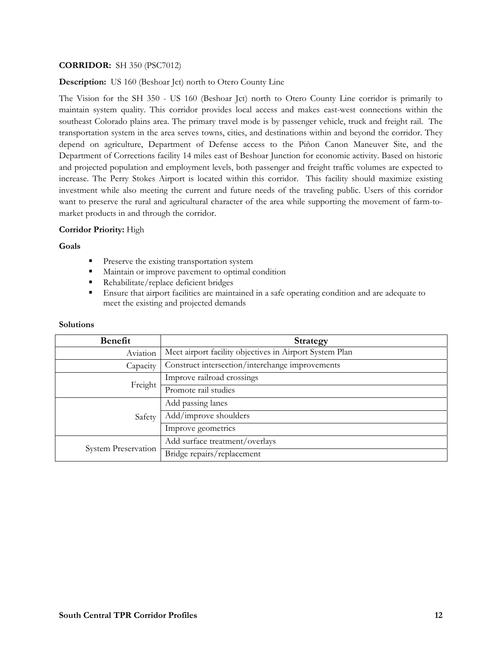# **CORRIDOR:** SH 350 (PSC7012)

**Description:** US 160 (Beshoar Jct) north to Otero County Line

The Vision for the SH 350 - US 160 (Beshoar Jct) north to Otero County Line corridor is primarily to maintain system quality. This corridor provides local access and makes east-west connections within the southeast Colorado plains area. The primary travel mode is by passenger vehicle, truck and freight rail. The transportation system in the area serves towns, cities, and destinations within and beyond the corridor. They depend on agriculture, Department of Defense access to the Piñon Canon Maneuver Site, and the Department of Corrections facility 14 miles east of Beshoar Junction for economic activity. Based on historic and projected population and employment levels, both passenger and freight traffic volumes are expected to increase. The Perry Stokes Airport is located within this corridor. This facility should maximize existing investment while also meeting the current and future needs of the traveling public. Users of this corridor want to preserve the rural and agricultural character of the area while supporting the movement of farm-tomarket products in and through the corridor.

### **Corridor Priority:** High

#### **Goals**

- **Preserve the existing transportation system**
- Maintain or improve pavement to optimal condition
- Rehabilitate/replace deficient bridges
- Ensure that airport facilities are maintained in a safe operating condition and are adequate to meet the existing and projected demands

| <b>Benefit</b>             | Strategy                                                |
|----------------------------|---------------------------------------------------------|
| Aviation                   | Meet airport facility objectives in Airport System Plan |
| Capacity                   | Construct intersection/interchange improvements         |
| Freight                    | Improve railroad crossings                              |
|                            | Promote rail studies                                    |
| Safety                     | Add passing lanes                                       |
|                            | Add/improve shoulders                                   |
|                            | Improve geometrics                                      |
| <b>System Preservation</b> | Add surface treatment/overlays                          |
|                            | Bridge repairs/replacement                              |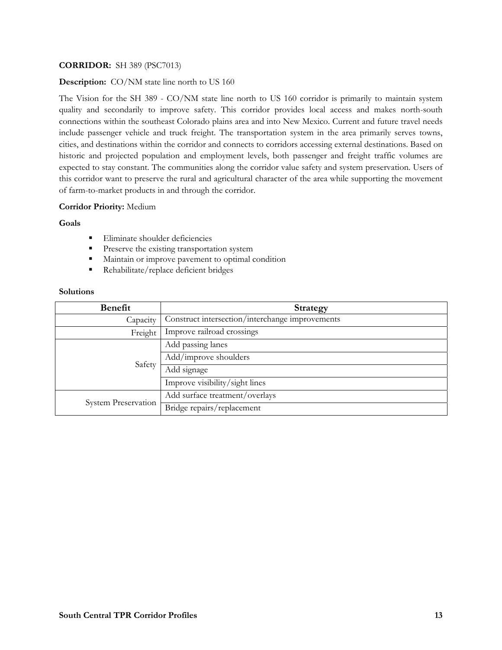# **CORRIDOR:** SH 389 (PSC7013)

### **Description:** CO/NM state line north to US 160

The Vision for the SH 389 - CO/NM state line north to US 160 corridor is primarily to maintain system quality and secondarily to improve safety. This corridor provides local access and makes north-south connections within the southeast Colorado plains area and into New Mexico. Current and future travel needs include passenger vehicle and truck freight. The transportation system in the area primarily serves towns, cities, and destinations within the corridor and connects to corridors accessing external destinations. Based on historic and projected population and employment levels, both passenger and freight traffic volumes are expected to stay constant. The communities along the corridor value safety and system preservation. Users of this corridor want to preserve the rural and agricultural character of the area while supporting the movement of farm-to-market products in and through the corridor.

### **Corridor Priority:** Medium

## **Goals**

- **Eliminate shoulder deficiencies**
- **Preserve the existing transportation system**
- **Maintain or improve pavement to optimal condition**
- Rehabilitate/replace deficient bridges

| <b>Benefit</b>             | Strategy                                        |
|----------------------------|-------------------------------------------------|
| Capacity                   | Construct intersection/interchange improvements |
| Freight                    | Improve railroad crossings                      |
| Safety                     | Add passing lanes                               |
|                            | Add/improve shoulders                           |
|                            | Add signage                                     |
|                            | Improve visibility/sight lines                  |
| <b>System Preservation</b> | Add surface treatment/overlays                  |
|                            | Bridge repairs/replacement                      |